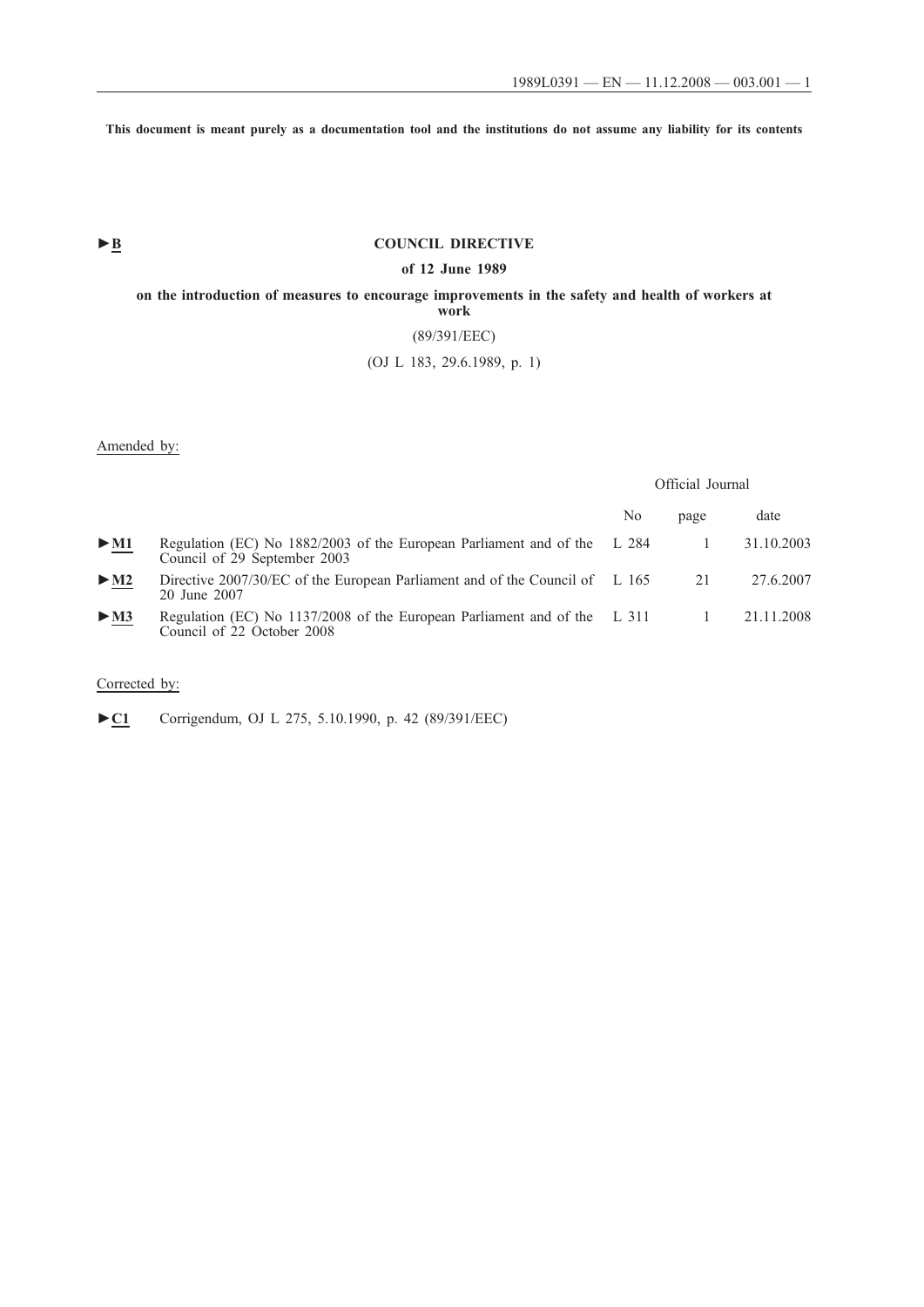**This document is meant purely as a documentation tool and the institutions do not assume any liability for its contents**

## **►B COUNCIL DIRECTIVE**

## **of 12 June 1989**

**on the introduction of measures to encourage improvements in the safety and health of workers at work** (89/391/EEC)

## (OJ L 183, 29.6.1989, p. 1)

## Amended by:

## Official Journal

|                          |                                                                                                          | No | page | date       |
|--------------------------|----------------------------------------------------------------------------------------------------------|----|------|------------|
| $>$ M1                   | Regulation (EC) No 1882/2003 of the European Parliament and of the L 284<br>Council of 29 September 2003 |    |      | 31.10.2003 |
| $\blacktriangleright$ M2 | Directive $2007/30$ /EC of the European Parliament and of the Council of L 165<br>20 June 2007           |    | 21   | 27.6.2007  |
| $>$ M3                   | Regulation (EC) No 1137/2008 of the European Parliament and of the L 311<br>Council of 22 October 2008   |    |      | 21.11.2008 |

### Corrected by:

►**C1** Corrigendum, OJ L 275, 5.10.1990, p. 42 (89/391/EEC)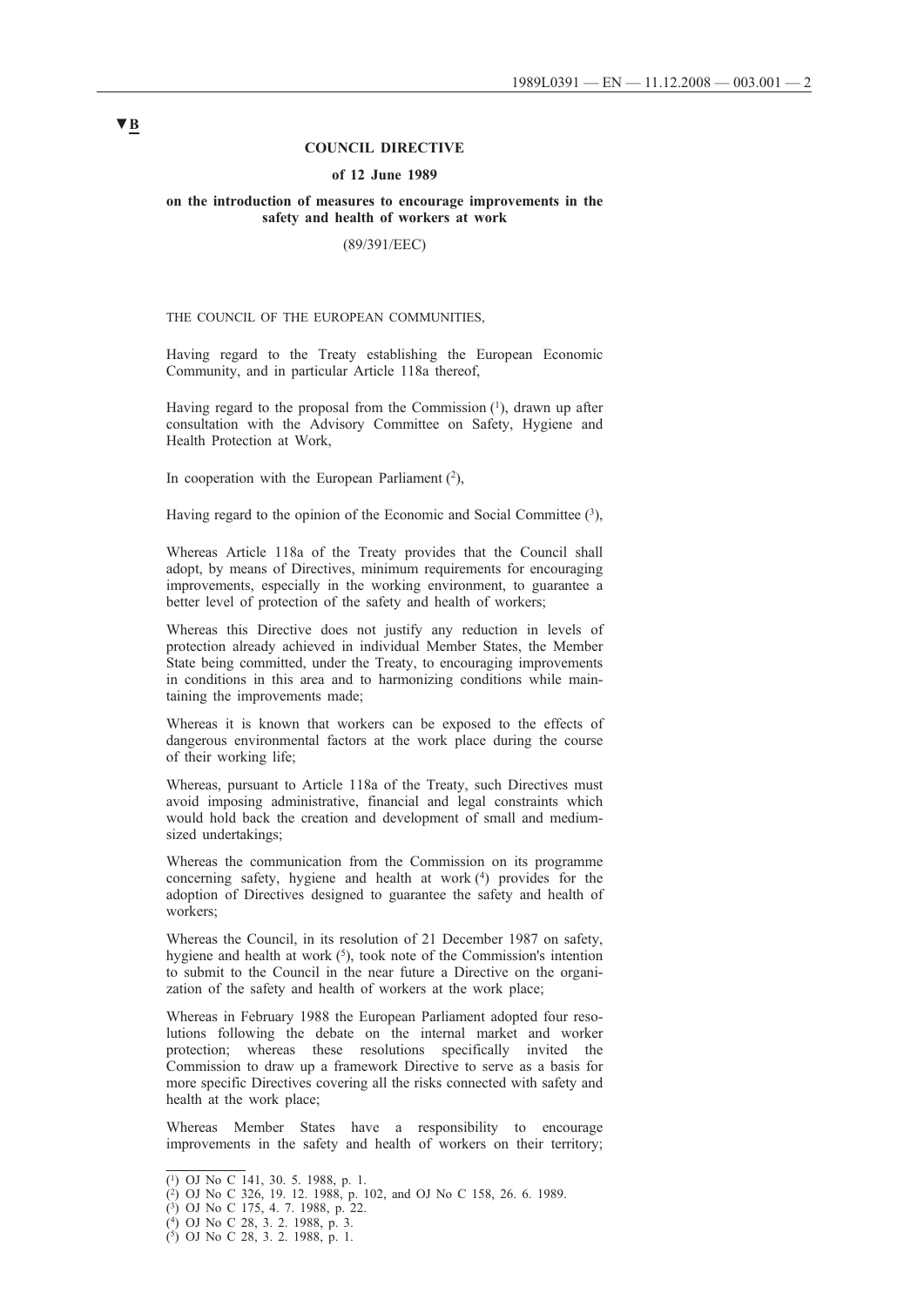### **COUNCIL DIRECTIVE**

#### **of 12 June 1989**

#### **on the introduction of measures to encourage improvements in the safety and health of workers at work**

#### (89/391/EEC)

THE COUNCIL OF THE EUROPEAN COMMUNITIES,

Having regard to the Treaty establishing the European Economic Community, and in particular Article 118a thereof,

Having regard to the proposal from the Commission  $(1)$ , drawn up after consultation with the Advisory Committee on Safety, Hygiene and Health Protection at Work,

In cooperation with the European Parliament  $(2)$ ,

Having regard to the opinion of the Economic and Social Committee  $(3)$ ,

Whereas Article 118a of the Treaty provides that the Council shall adopt, by means of Directives, minimum requirements for encouraging improvements, especially in the working environment, to guarantee a better level of protection of the safety and health of workers;

Whereas this Directive does not justify any reduction in levels of protection already achieved in individual Member States, the Member State being committed, under the Treaty, to encouraging improvements in conditions in this area and to harmonizing conditions while maintaining the improvements made;

Whereas it is known that workers can be exposed to the effects of dangerous environmental factors at the work place during the course of their working life;

Whereas, pursuant to Article 118a of the Treaty, such Directives must avoid imposing administrative, financial and legal constraints which would hold back the creation and development of small and mediumsized undertakings;

Whereas the communication from the Commission on its programme concerning safety, hygiene and health at work (4) provides for the adoption of Directives designed to guarantee the safety and health of workers;

Whereas the Council, in its resolution of 21 December 1987 on safety, hygiene and health at work  $(5)$ , took note of the Commission's intention to submit to the Council in the near future a Directive on the organization of the safety and health of workers at the work place;

Whereas in February 1988 the European Parliament adopted four resolutions following the debate on the internal market and worker protection; whereas these resolutions specifically invited the Commission to draw up a framework Directive to serve as a basis for more specific Directives covering all the risks connected with safety and health at the work place;

Whereas Member States have a responsibility to encourage improvements in the safety and health of workers on their territory;

<sup>(1)</sup> OJ No C 141, 30. 5. 1988, p. 1.

<sup>(2)</sup> OJ No C 326, 19. 12. 1988, p. 102, and OJ No C 158, 26. 6. 1989.

<sup>(3)</sup> OJ No C 175, 4. 7. 1988, p. 22.

<sup>(4)</sup> OJ No C 28, 3. 2. 1988, p. 3.

<sup>(5)</sup> OJ No C 28, 3. 2. 1988, p. 1.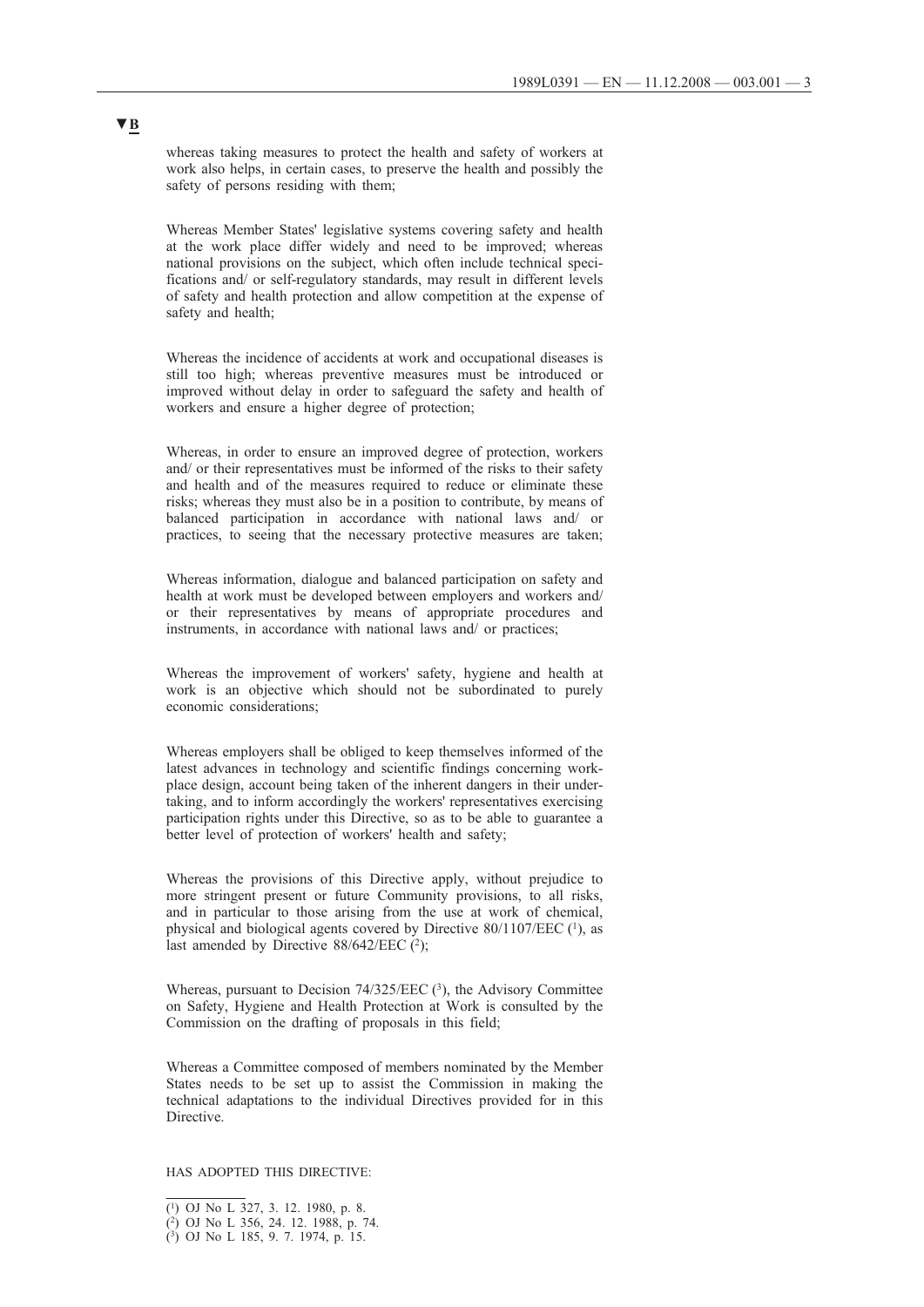whereas taking measures to protect the health and safety of workers at work also helps, in certain cases, to preserve the health and possibly the safety of persons residing with them;

Whereas Member States' legislative systems covering safety and health at the work place differ widely and need to be improved; whereas national provisions on the subject, which often include technical specifications and/ or self-regulatory standards, may result in different levels of safety and health protection and allow competition at the expense of safety and health;

Whereas the incidence of accidents at work and occupational diseases is still too high; whereas preventive measures must be introduced or improved without delay in order to safeguard the safety and health of workers and ensure a higher degree of protection;

Whereas, in order to ensure an improved degree of protection, workers and/ or their representatives must be informed of the risks to their safety and health and of the measures required to reduce or eliminate these risks; whereas they must also be in a position to contribute, by means of balanced participation in accordance with national laws and/ or practices, to seeing that the necessary protective measures are taken;

Whereas information, dialogue and balanced participation on safety and health at work must be developed between employers and workers and/ or their representatives by means of appropriate procedures and instruments, in accordance with national laws and/ or practices;

Whereas the improvement of workers' safety, hygiene and health at work is an objective which should not be subordinated to purely economic considerations;

Whereas employers shall be obliged to keep themselves informed of the latest advances in technology and scientific findings concerning workplace design, account being taken of the inherent dangers in their undertaking, and to inform accordingly the workers' representatives exercising participation rights under this Directive, so as to be able to guarantee a better level of protection of workers' health and safety;

Whereas the provisions of this Directive apply, without prejudice to more stringent present or future Community provisions, to all risks, and in particular to those arising from the use at work of chemical, physical and biological agents covered by Directive 80/1107/EEC (1), as last amended by Directive  $88/642/EEC$  (2);

Whereas, pursuant to Decision 74/325/EEC (3), the Advisory Committee on Safety, Hygiene and Health Protection at Work is consulted by the Commission on the drafting of proposals in this field;

Whereas a Committee composed of members nominated by the Member States needs to be set up to assist the Commission in making the technical adaptations to the individual Directives provided for in this Directive.

HAS ADOPTED THIS DIRECTIVE:

<sup>(1)</sup> OJ No L 327, 3. 12. 1980, p. 8.

<sup>(2)</sup> OJ No L 356, 24. 12. 1988, p. 74.

<sup>(3)</sup> OJ No L 185, 9. 7. 1974, p. 15.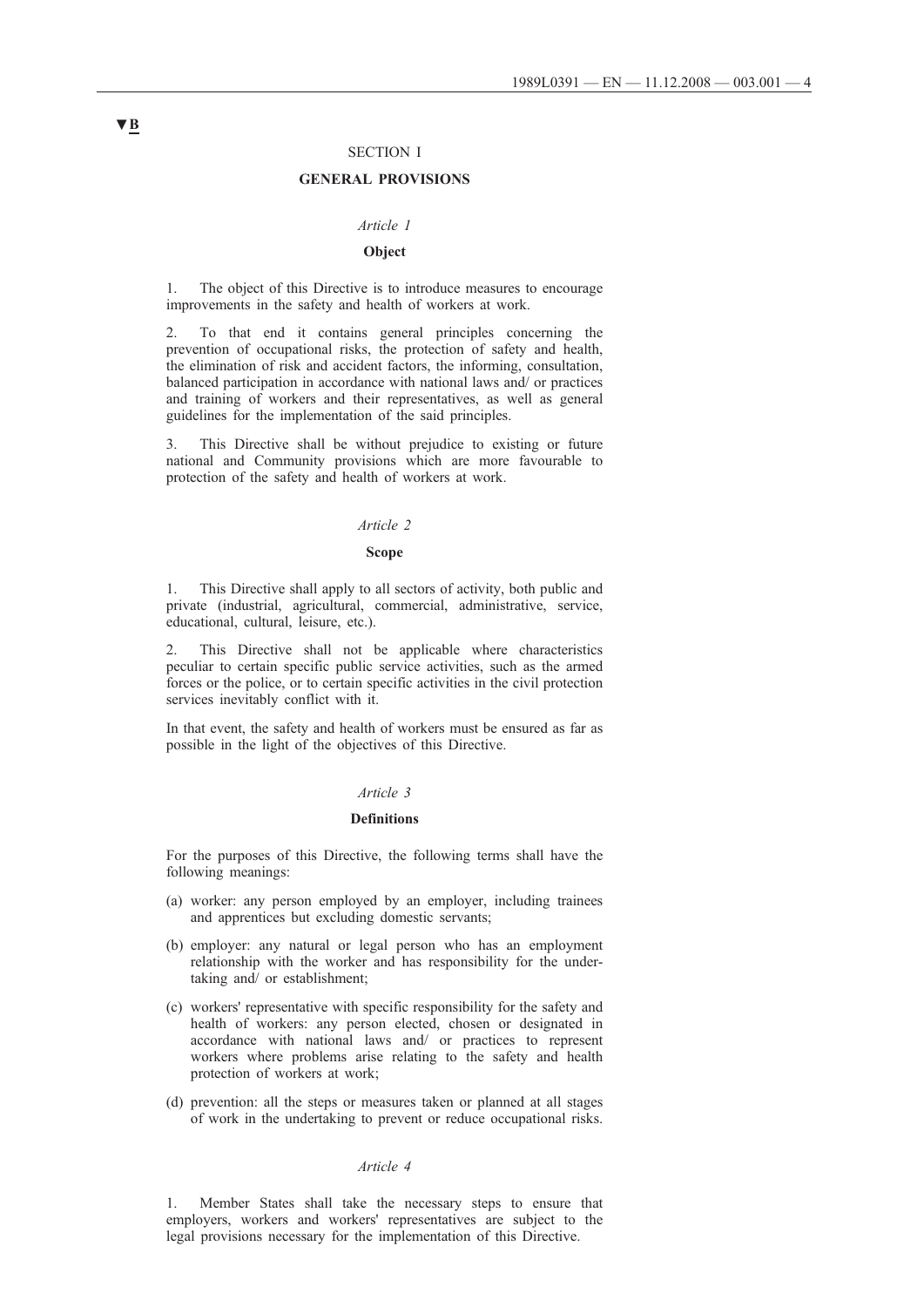#### SECTION I

### **GENERAL PROVISIONS**

#### *Article 1*

#### **Object**

1. The object of this Directive is to introduce measures to encourage improvements in the safety and health of workers at work.

2. To that end it contains general principles concerning the prevention of occupational risks, the protection of safety and health, the elimination of risk and accident factors, the informing, consultation, balanced participation in accordance with national laws and/ or practices and training of workers and their representatives, as well as general guidelines for the implementation of the said principles.

3. This Directive shall be without prejudice to existing or future national and Community provisions which are more favourable to protection of the safety and health of workers at work.

### *Article 2*

#### **Scope**

1. This Directive shall apply to all sectors of activity, both public and private (industrial, agricultural, commercial, administrative, service, educational, cultural, leisure, etc.).

2. This Directive shall not be applicable where characteristics peculiar to certain specific public service activities, such as the armed forces or the police, or to certain specific activities in the civil protection services inevitably conflict with it.

In that event, the safety and health of workers must be ensured as far as possible in the light of the objectives of this Directive.

#### *Article 3*

#### **Definitions**

For the purposes of this Directive, the following terms shall have the following meanings:

- (a) worker: any person employed by an employer, including trainees and apprentices but excluding domestic servants;
- (b) employer: any natural or legal person who has an employment relationship with the worker and has responsibility for the undertaking and/ or establishment;
- (c) workers' representative with specific responsibility for the safety and health of workers: any person elected, chosen or designated in accordance with national laws and/ or practices to represent workers where problems arise relating to the safety and health protection of workers at work;
- (d) prevention: all the steps or measures taken or planned at all stages of work in the undertaking to prevent or reduce occupational risks.

### *Article 4*

1. Member States shall take the necessary steps to ensure that employers, workers and workers' representatives are subject to the legal provisions necessary for the implementation of this Directive.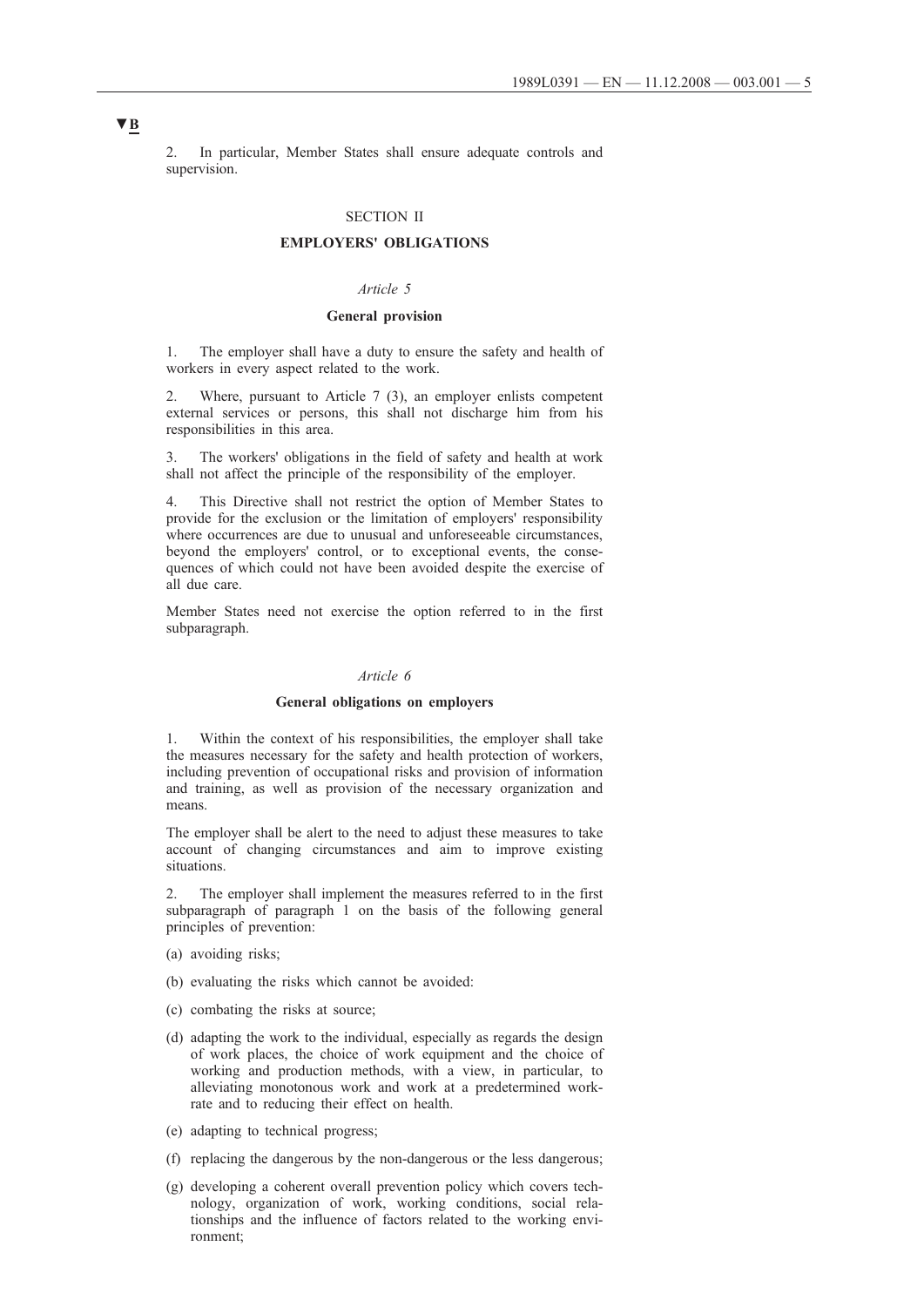2. In particular, Member States shall ensure adequate controls and supervision.

#### SECTION II

## **EMPLOYERS' OBLIGATIONS**

### *Article 5*

### **General provision**

1. The employer shall have a duty to ensure the safety and health of workers in every aspect related to the work.

2. Where, pursuant to Article 7 (3), an employer enlists competent external services or persons, this shall not discharge him from his responsibilities in this area.

3. The workers' obligations in the field of safety and health at work shall not affect the principle of the responsibility of the employer.

4. This Directive shall not restrict the option of Member States to provide for the exclusion or the limitation of employers' responsibility where occurrences are due to unusual and unforeseeable circumstances, beyond the employers' control, or to exceptional events, the consequences of which could not have been avoided despite the exercise of all due care.

Member States need not exercise the option referred to in the first subparagraph.

## *Article 6*

## **General obligations on employers**

1. Within the context of his responsibilities, the employer shall take the measures necessary for the safety and health protection of workers, including prevention of occupational risks and provision of information and training, as well as provision of the necessary organization and means.

The employer shall be alert to the need to adjust these measures to take account of changing circumstances and aim to improve existing situations.

2. The employer shall implement the measures referred to in the first subparagraph of paragraph 1 on the basis of the following general principles of prevention:

- (a) avoiding risks;
- (b) evaluating the risks which cannot be avoided:
- (c) combating the risks at source;
- (d) adapting the work to the individual, especially as regards the design of work places, the choice of work equipment and the choice of working and production methods, with a view, in particular, to alleviating monotonous work and work at a predetermined workrate and to reducing their effect on health.
- (e) adapting to technical progress;
- (f) replacing the dangerous by the non-dangerous or the less dangerous;
- (g) developing a coherent overall prevention policy which covers technology, organization of work, working conditions, social relationships and the influence of factors related to the working environment;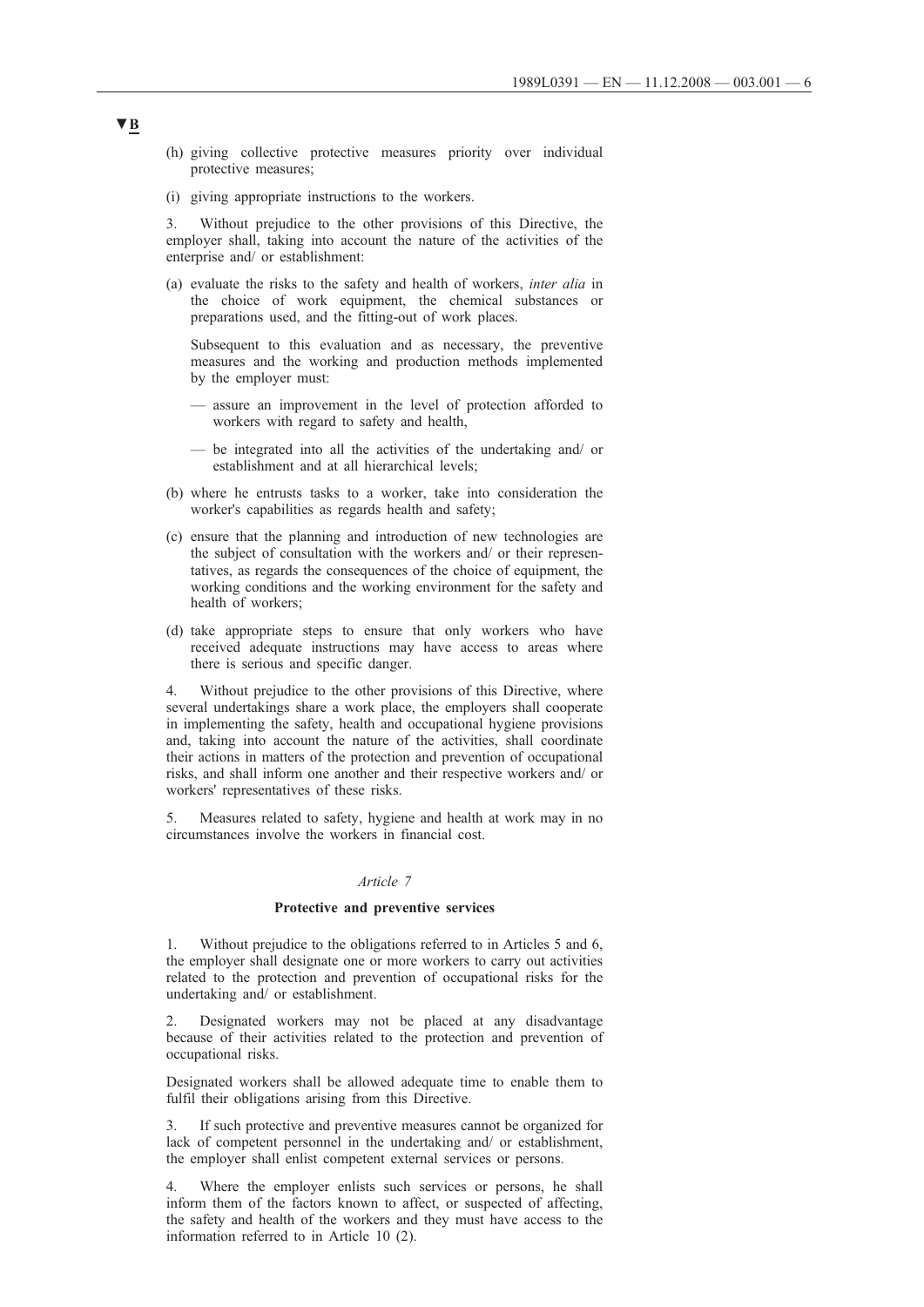- (h) giving collective protective measures priority over individual protective measures;
- (i) giving appropriate instructions to the workers.

3. Without prejudice to the other provisions of this Directive, the employer shall, taking into account the nature of the activities of the enterprise and/ or establishment:

(a) evaluate the risks to the safety and health of workers, *inter alia* in the choice of work equipment, the chemical substances or preparations used, and the fitting-out of work places.

Subsequent to this evaluation and as necessary, the preventive measures and the working and production methods implemented by the employer must:

- assure an improvement in the level of protection afforded to workers with regard to safety and health,
- be integrated into all the activities of the undertaking and/ or establishment and at all hierarchical levels;
- (b) where he entrusts tasks to a worker, take into consideration the worker's capabilities as regards health and safety;
- (c) ensure that the planning and introduction of new technologies are the subject of consultation with the workers and/ or their representatives, as regards the consequences of the choice of equipment, the working conditions and the working environment for the safety and health of workers;
- (d) take appropriate steps to ensure that only workers who have received adequate instructions may have access to areas where there is serious and specific danger.

4. Without prejudice to the other provisions of this Directive, where several undertakings share a work place, the employers shall cooperate in implementing the safety, health and occupational hygiene provisions and, taking into account the nature of the activities, shall coordinate their actions in matters of the protection and prevention of occupational risks, and shall inform one another and their respective workers and/ or workers' representatives of these risks.

Measures related to safety, hygiene and health at work may in no circumstances involve the workers in financial cost.

#### *Article 7*

#### **Protective and preventive services**

Without prejudice to the obligations referred to in Articles 5 and 6, the employer shall designate one or more workers to carry out activities related to the protection and prevention of occupational risks for the undertaking and/ or establishment.

2. Designated workers may not be placed at any disadvantage because of their activities related to the protection and prevention of occupational risks.

Designated workers shall be allowed adequate time to enable them to fulfil their obligations arising from this Directive.

3. If such protective and preventive measures cannot be organized for lack of competent personnel in the undertaking and/ or establishment, the employer shall enlist competent external services or persons.

4. Where the employer enlists such services or persons, he shall inform them of the factors known to affect, or suspected of affecting, the safety and health of the workers and they must have access to the information referred to in Article 10 (2).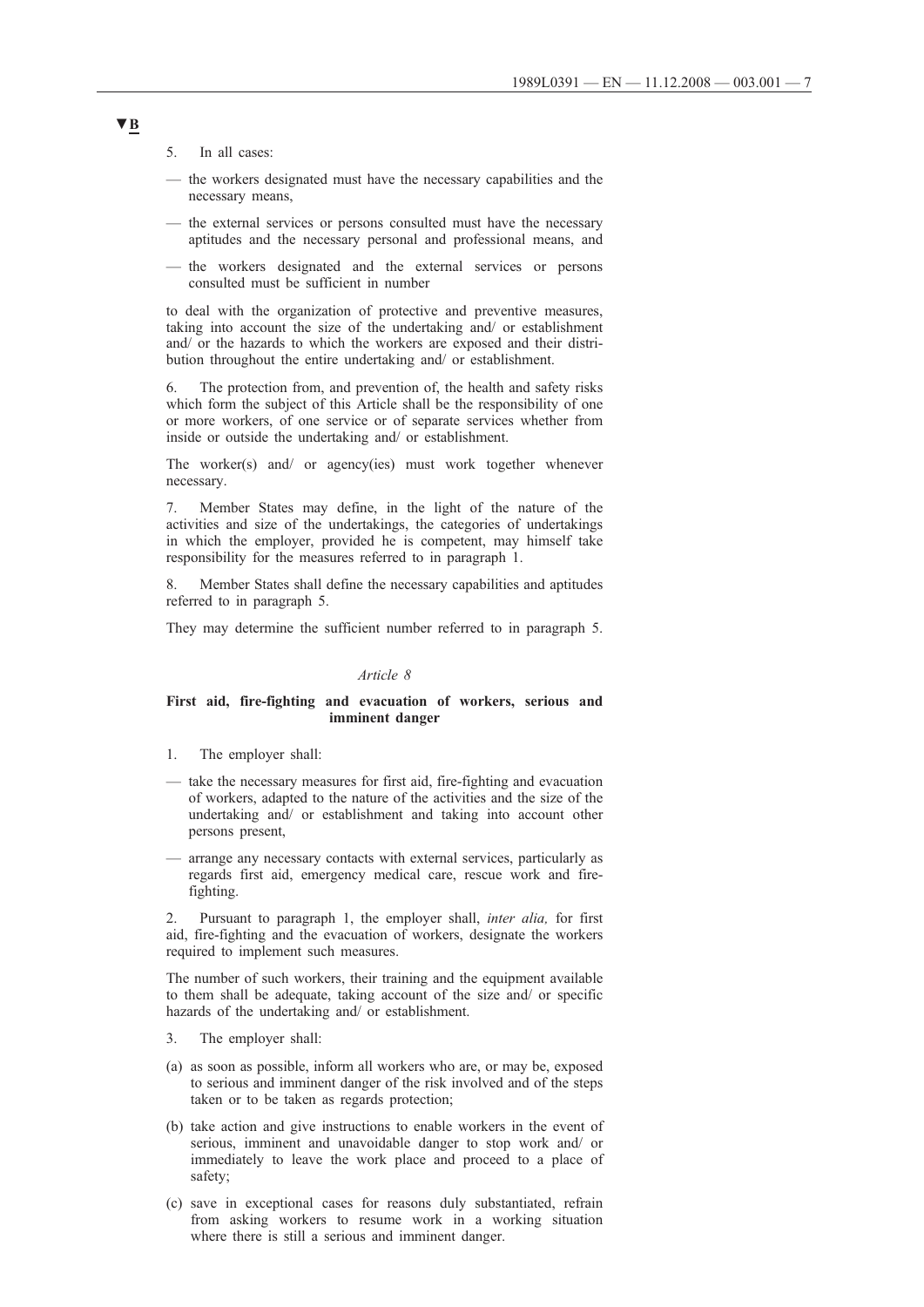- 5. In all cases:
- the workers designated must have the necessary capabilities and the necessary means,
- the external services or persons consulted must have the necessary aptitudes and the necessary personal and professional means, and
- the workers designated and the external services or persons consulted must be sufficient in number

to deal with the organization of protective and preventive measures, taking into account the size of the undertaking and/ or establishment and/ or the hazards to which the workers are exposed and their distribution throughout the entire undertaking and/ or establishment.

6. The protection from, and prevention of, the health and safety risks which form the subject of this Article shall be the responsibility of one or more workers, of one service or of separate services whether from inside or outside the undertaking and/ or establishment.

The worker(s) and/ or agency(ies) must work together whenever necessary.

7. Member States may define, in the light of the nature of the activities and size of the undertakings, the categories of undertakings in which the employer, provided he is competent, may himself take responsibility for the measures referred to in paragraph 1.

8. Member States shall define the necessary capabilities and aptitudes referred to in paragraph 5.

They may determine the sufficient number referred to in paragraph 5.

#### *Article 8*

### **First aid, fire-fighting and evacuation of workers, serious and imminent danger**

- 1. The employer shall:
- take the necessary measures for first aid, fire-fighting and evacuation of workers, adapted to the nature of the activities and the size of the undertaking and/ or establishment and taking into account other persons present,
- arrange any necessary contacts with external services, particularly as regards first aid, emergency medical care, rescue work and firefighting.

2. Pursuant to paragraph 1, the employer shall, *inter alia,* for first aid, fire-fighting and the evacuation of workers, designate the workers required to implement such measures.

The number of such workers, their training and the equipment available to them shall be adequate, taking account of the size and/ or specific hazards of the undertaking and/ or establishment.

- 3. The employer shall:
- (a) as soon as possible, inform all workers who are, or may be, exposed to serious and imminent danger of the risk involved and of the steps taken or to be taken as regards protection;
- (b) take action and give instructions to enable workers in the event of serious, imminent and unavoidable danger to stop work and/ or immediately to leave the work place and proceed to a place of safety;
- (c) save in exceptional cases for reasons duly substantiated, refrain from asking workers to resume work in a working situation where there is still a serious and imminent danger.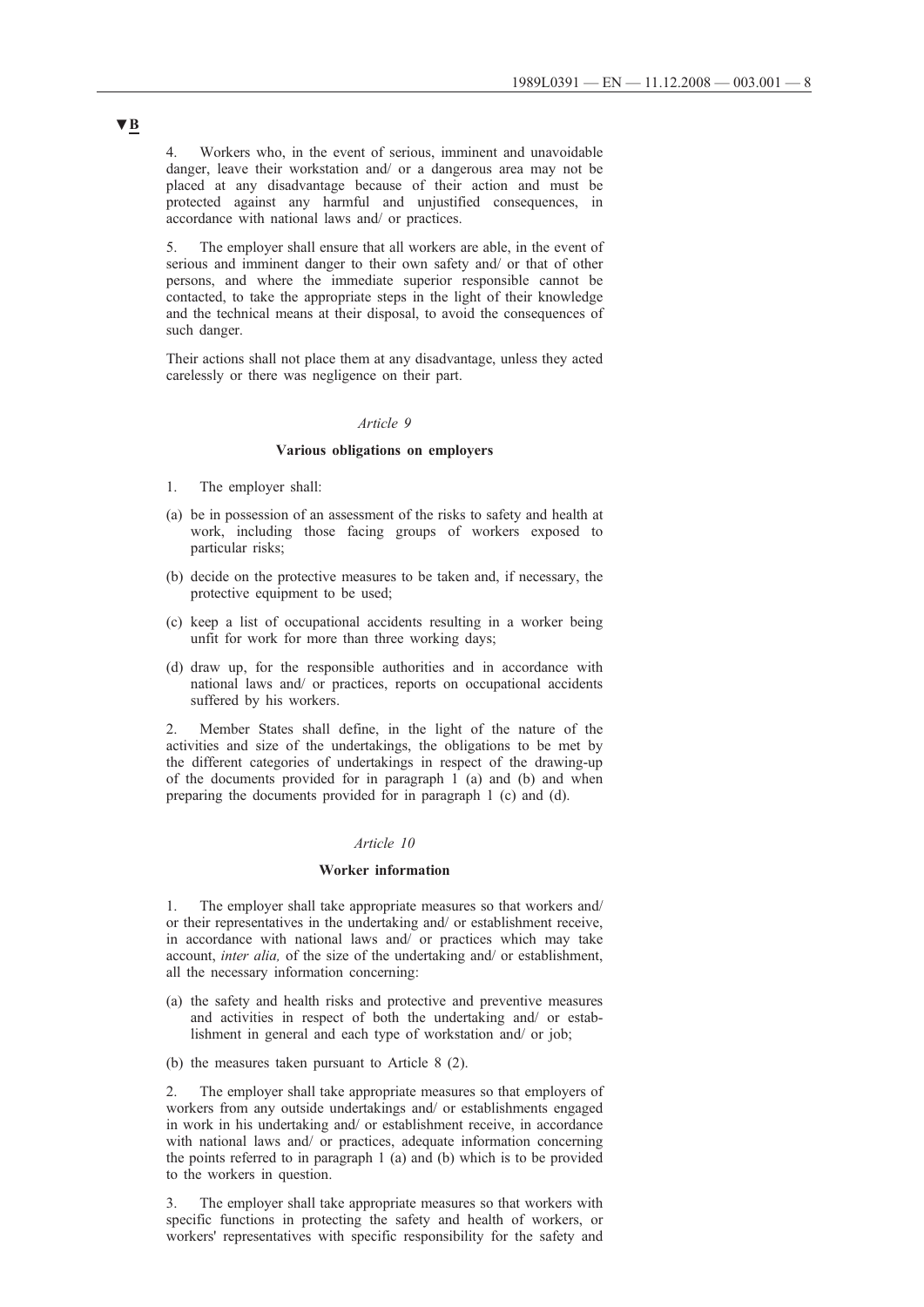4. Workers who, in the event of serious, imminent and unavoidable danger, leave their workstation and/ or a dangerous area may not be placed at any disadvantage because of their action and must be protected against any harmful and unjustified consequences, in accordance with national laws and/ or practices.

5. The employer shall ensure that all workers are able, in the event of serious and imminent danger to their own safety and/ or that of other persons, and where the immediate superior responsible cannot be contacted, to take the appropriate steps in the light of their knowledge and the technical means at their disposal, to avoid the consequences of such danger.

Their actions shall not place them at any disadvantage, unless they acted carelessly or there was negligence on their part.

## *Article 9*

### **Various obligations on employers**

- 1. The employer shall:
- (a) be in possession of an assessment of the risks to safety and health at work, including those facing groups of workers exposed to particular risks;
- (b) decide on the protective measures to be taken and, if necessary, the protective equipment to be used;
- (c) keep a list of occupational accidents resulting in a worker being unfit for work for more than three working days;
- (d) draw up, for the responsible authorities and in accordance with national laws and/ or practices, reports on occupational accidents suffered by his workers.

2. Member States shall define, in the light of the nature of the activities and size of the undertakings, the obligations to be met by the different categories of undertakings in respect of the drawing-up of the documents provided for in paragraph 1 (a) and (b) and when preparing the documents provided for in paragraph 1 (c) and (d).

## *Article 10*

#### **Worker information**

1. The employer shall take appropriate measures so that workers and/ or their representatives in the undertaking and/ or establishment receive, in accordance with national laws and/ or practices which may take account, *inter alia,* of the size of the undertaking and/ or establishment, all the necessary information concerning:

- (a) the safety and health risks and protective and preventive measures and activities in respect of both the undertaking and/ or establishment in general and each type of workstation and/ or job;
- (b) the measures taken pursuant to Article 8 (2).

2. The employer shall take appropriate measures so that employers of workers from any outside undertakings and/ or establishments engaged in work in his undertaking and/ or establishment receive, in accordance with national laws and/ or practices, adequate information concerning the points referred to in paragraph 1 (a) and (b) which is to be provided to the workers in question.

3. The employer shall take appropriate measures so that workers with specific functions in protecting the safety and health of workers, or workers' representatives with specific responsibility for the safety and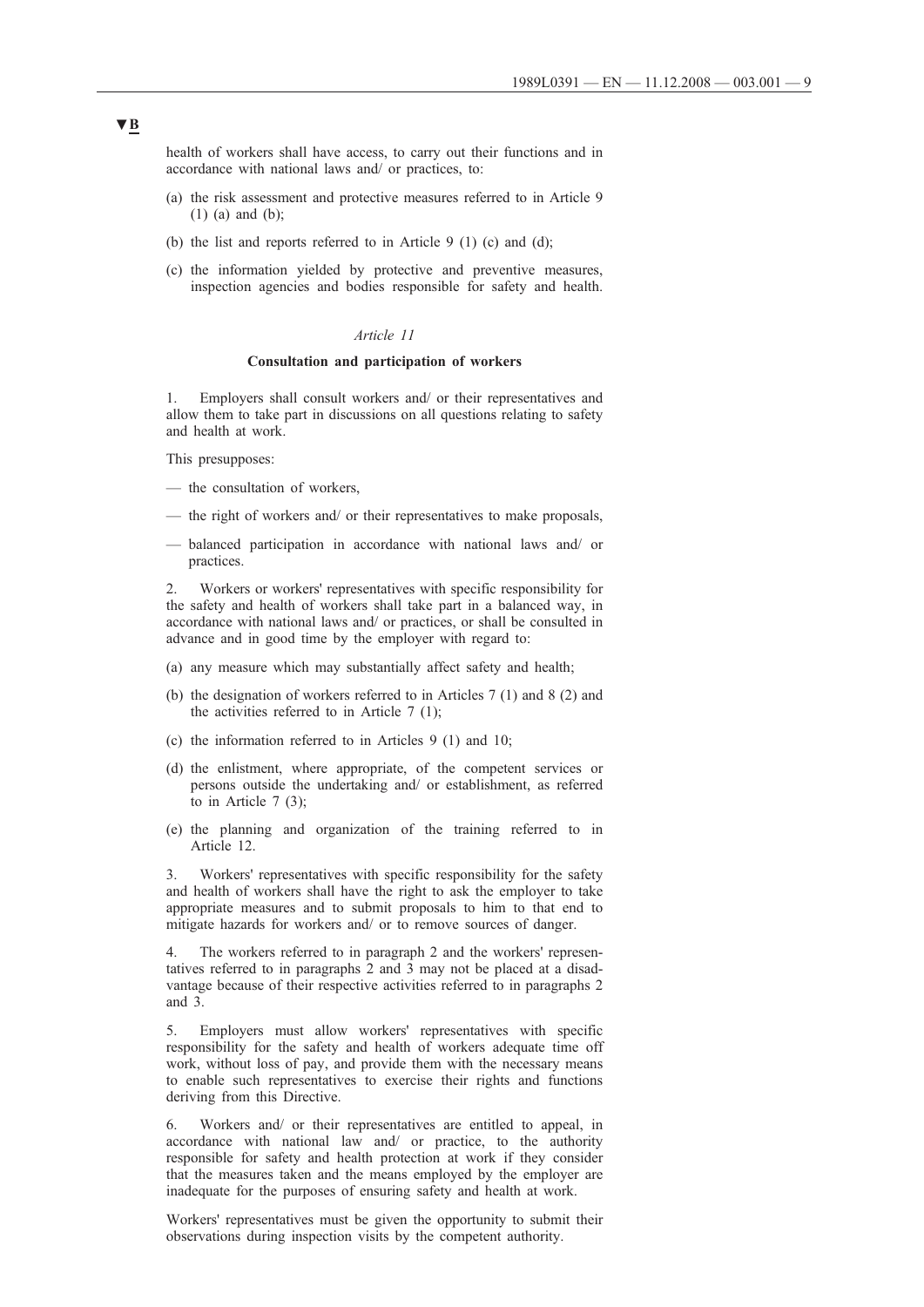health of workers shall have access, to carry out their functions and in accordance with national laws and/ or practices, to:

- (a) the risk assessment and protective measures referred to in Article 9 (1) (a) and (b);
- (b) the list and reports referred to in Article  $9(1)(c)$  and  $(d)$ ;
- (c) the information yielded by protective and preventive measures, inspection agencies and bodies responsible for safety and health.

#### *Article 11*

#### **Consultation and participation of workers**

Employers shall consult workers and/ or their representatives and allow them to take part in discussions on all questions relating to safety and health at work.

This presupposes:

- the consultation of workers,
- the right of workers and/ or their representatives to make proposals,
- balanced participation in accordance with national laws and/ or practices.

2. Workers or workers' representatives with specific responsibility for the safety and health of workers shall take part in a balanced way, in accordance with national laws and/ or practices, or shall be consulted in advance and in good time by the employer with regard to:

- (a) any measure which may substantially affect safety and health;
- (b) the designation of workers referred to in Articles 7 (1) and 8 (2) and the activities referred to in Article 7 (1);
- (c) the information referred to in Articles 9 (1) and 10;
- (d) the enlistment, where appropriate, of the competent services or persons outside the undertaking and/ or establishment, as referred to in Article  $7(3)$ ;
- (e) the planning and organization of the training referred to in Article 12.

3. Workers' representatives with specific responsibility for the safety and health of workers shall have the right to ask the employer to take appropriate measures and to submit proposals to him to that end to mitigate hazards for workers and/ or to remove sources of danger.

4. The workers referred to in paragraph 2 and the workers' representatives referred to in paragraphs 2 and 3 may not be placed at a disadvantage because of their respective activities referred to in paragraphs 2 and 3.

5. Employers must allow workers' representatives with specific responsibility for the safety and health of workers adequate time off work, without loss of pay, and provide them with the necessary means to enable such representatives to exercise their rights and functions deriving from this Directive.

6. Workers and/ or their representatives are entitled to appeal, in accordance with national law and/ or practice, to the authority responsible for safety and health protection at work if they consider that the measures taken and the means employed by the employer are inadequate for the purposes of ensuring safety and health at work.

Workers' representatives must be given the opportunity to submit their observations during inspection visits by the competent authority.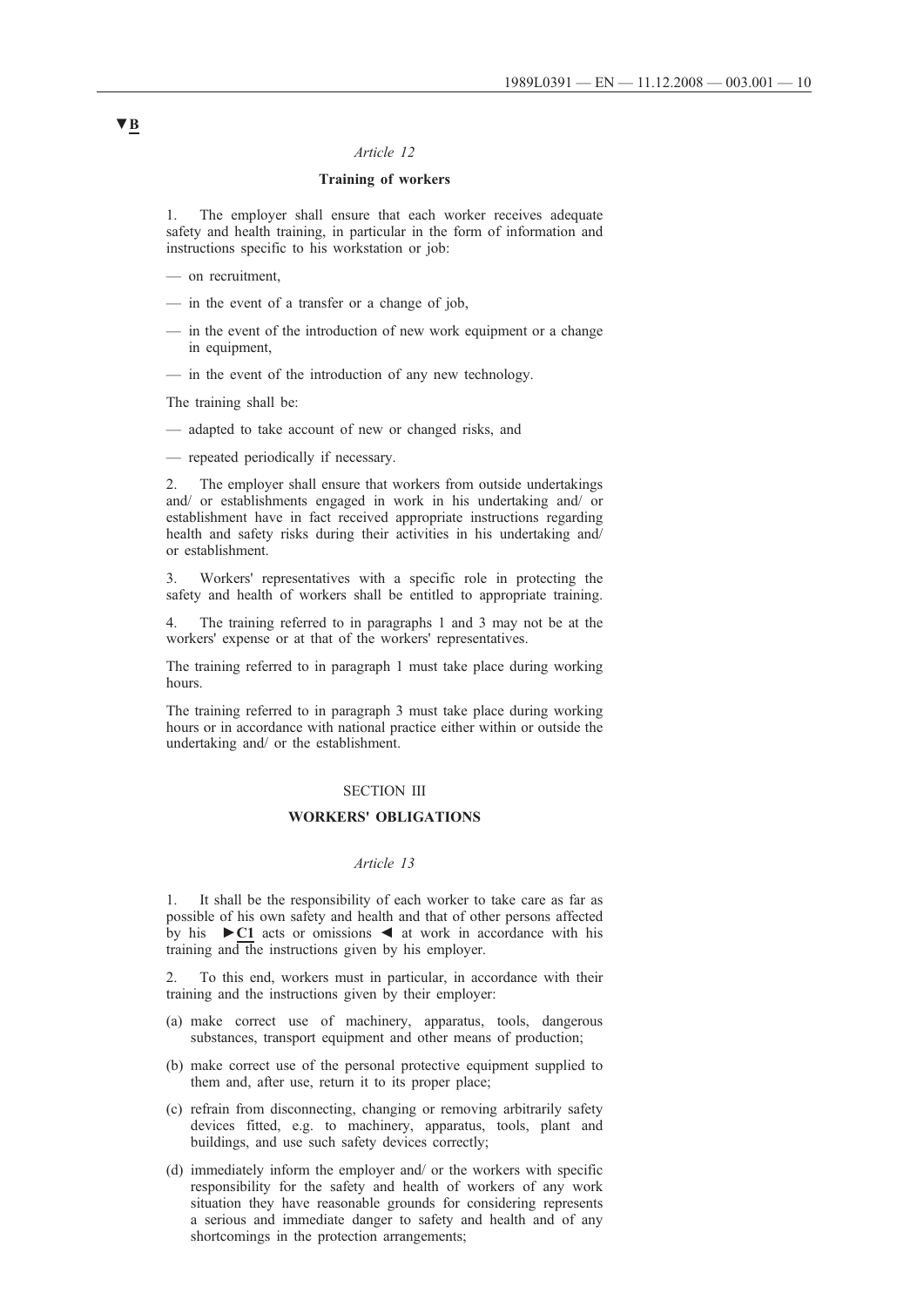### *Article 12*

## **Training of workers**

1. The employer shall ensure that each worker receives adequate safety and health training, in particular in the form of information and instructions specific to his workstation or job:

- on recruitment,
- in the event of a transfer or a change of job,
- in the event of the introduction of new work equipment or a change in equipment,
- in the event of the introduction of any new technology.

The training shall be:

- adapted to take account of new or changed risks, and
- repeated periodically if necessary.

2. The employer shall ensure that workers from outside undertakings and/ or establishments engaged in work in his undertaking and/ or establishment have in fact received appropriate instructions regarding health and safety risks during their activities in his undertaking and/ or establishment.

3. Workers' representatives with a specific role in protecting the safety and health of workers shall be entitled to appropriate training.

4. The training referred to in paragraphs 1 and 3 may not be at the workers' expense or at that of the workers' representatives.

The training referred to in paragraph 1 must take place during working hours.

The training referred to in paragraph 3 must take place during working hours or in accordance with national practice either within or outside the undertaking and/ or the establishment.

#### SECTION III

#### **WORKERS' OBLIGATIONS**

## *Article 13*

1. It shall be the responsibility of each worker to take care as far as possible of his own safety and health and that of other persons affected by his **►C1** acts or omissions ◄ at work in accordance with his training and the instructions given by his employer.

2. To this end, workers must in particular, in accordance with their training and the instructions given by their employer:

- (a) make correct use of machinery, apparatus, tools, dangerous substances, transport equipment and other means of production;
- (b) make correct use of the personal protective equipment supplied to them and, after use, return it to its proper place;
- (c) refrain from disconnecting, changing or removing arbitrarily safety devices fitted, e.g. to machinery, apparatus, tools, plant and buildings, and use such safety devices correctly;
- (d) immediately inform the employer and/ or the workers with specific responsibility for the safety and health of workers of any work situation they have reasonable grounds for considering represents a serious and immediate danger to safety and health and of any shortcomings in the protection arrangements;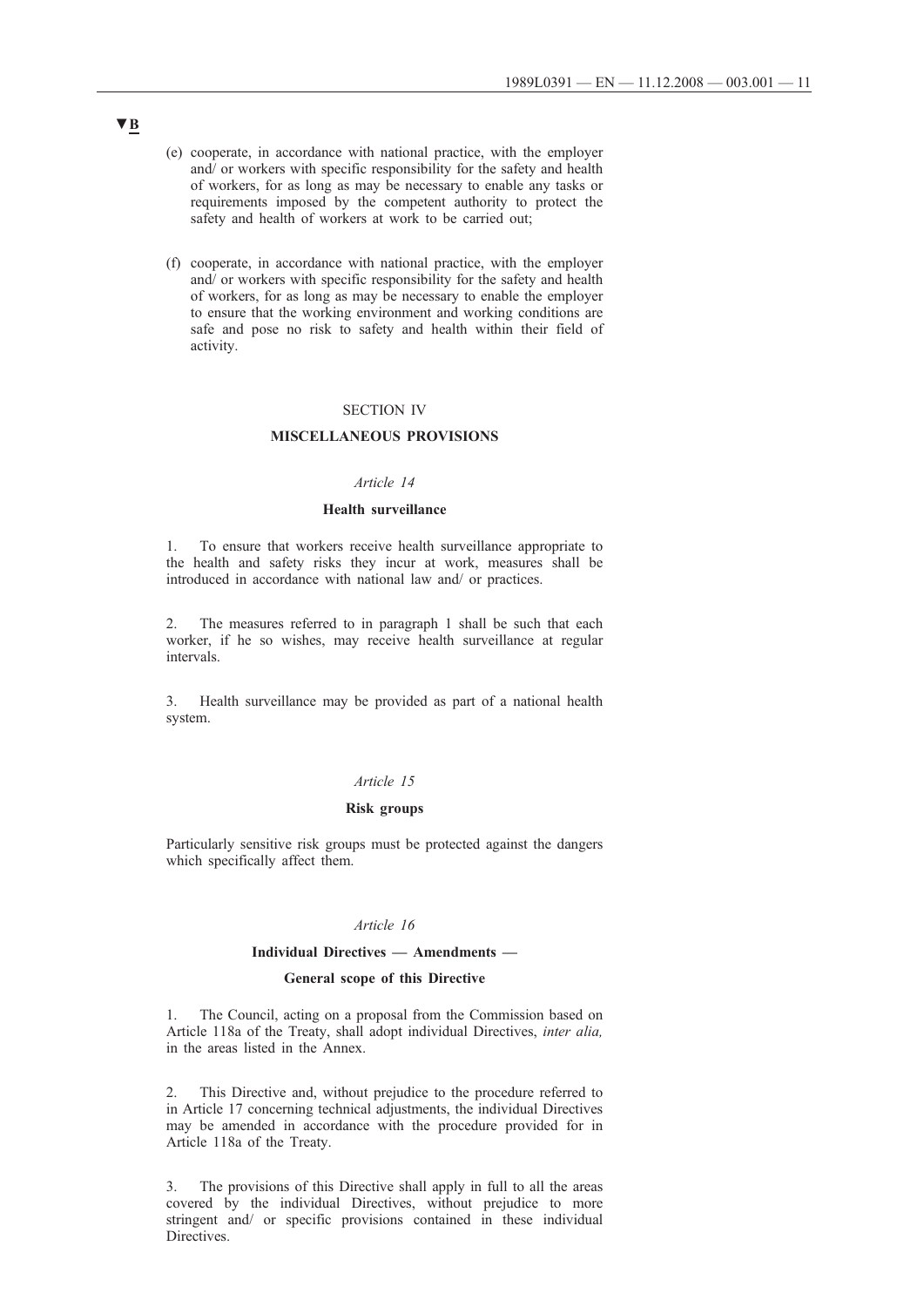- (e) cooperate, in accordance with national practice, with the employer and/ or workers with specific responsibility for the safety and health of workers, for as long as may be necessary to enable any tasks or requirements imposed by the competent authority to protect the safety and health of workers at work to be carried out;
- (f) cooperate, in accordance with national practice, with the employer and/ or workers with specific responsibility for the safety and health of workers, for as long as may be necessary to enable the employer to ensure that the working environment and working conditions are safe and pose no risk to safety and health within their field of activity.

#### SECTION IV

## **MISCELLANEOUS PROVISIONS**

### *Article 14*

#### **Health surveillance**

1. To ensure that workers receive health surveillance appropriate to the health and safety risks they incur at work, measures shall be introduced in accordance with national law and/ or practices.

2. The measures referred to in paragraph 1 shall be such that each worker, if he so wishes, may receive health surveillance at regular intervals.

3. Health surveillance may be provided as part of a national health system.

#### *Article 15*

#### **Risk groups**

Particularly sensitive risk groups must be protected against the dangers which specifically affect them.

### *Article 16*

### **Individual Directives — Amendments —**

#### **General scope of this Directive**

1. The Council, acting on a proposal from the Commission based on Article 118a of the Treaty, shall adopt individual Directives, *inter alia,* in the areas listed in the Annex.

2. This Directive and, without prejudice to the procedure referred to in Article 17 concerning technical adjustments, the individual Directives may be amended in accordance with the procedure provided for in Article 118a of the Treaty.

3. The provisions of this Directive shall apply in full to all the areas covered by the individual Directives, without prejudice to more stringent and/ or specific provisions contained in these individual **Directives**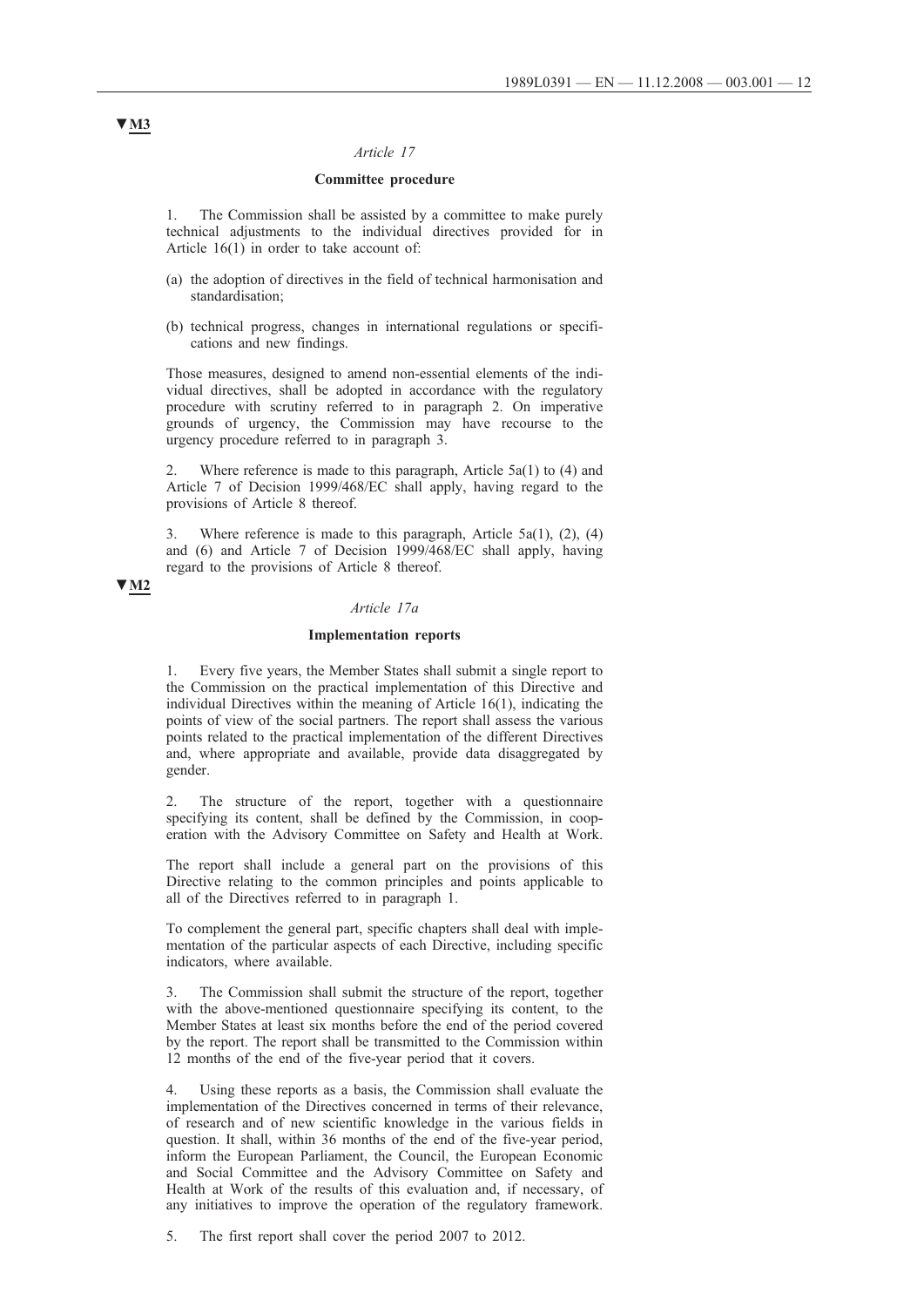#### *Article 17*

#### **Committee procedure**

1. The Commission shall be assisted by a committee to make purely technical adjustments to the individual directives provided for in Article 16(1) in order to take account of:

- (a) the adoption of directives in the field of technical harmonisation and standardisation;
- (b) technical progress, changes in international regulations or specifications and new findings.

Those measures, designed to amend non-essential elements of the individual directives, shall be adopted in accordance with the regulatory procedure with scrutiny referred to in paragraph 2. On imperative grounds of urgency, the Commission may have recourse to the urgency procedure referred to in paragraph 3.

2. Where reference is made to this paragraph, Article 5a(1) to (4) and Article 7 of Decision 1999/468/EC shall apply, having regard to the provisions of Article 8 thereof.

3. Where reference is made to this paragraph, Article 5a(1), (2), (4) and (6) and Article 7 of Decision 1999/468/EC shall apply, having regard to the provisions of Article 8 thereof.

#### *Article 17a*

#### **Implementation reports**

1. Every five years, the Member States shall submit a single report to the Commission on the practical implementation of this Directive and individual Directives within the meaning of Article 16(1), indicating the points of view of the social partners. The report shall assess the various points related to the practical implementation of the different Directives and, where appropriate and available, provide data disaggregated by gender.

2. The structure of the report, together with a questionnaire specifying its content, shall be defined by the Commission, in cooperation with the Advisory Committee on Safety and Health at Work.

The report shall include a general part on the provisions of this Directive relating to the common principles and points applicable to all of the Directives referred to in paragraph 1.

To complement the general part, specific chapters shall deal with implementation of the particular aspects of each Directive, including specific indicators, where available.

The Commission shall submit the structure of the report, together with the above-mentioned questionnaire specifying its content, to the Member States at least six months before the end of the period covered by the report. The report shall be transmitted to the Commission within 12 months of the end of the five-year period that it covers.

4. Using these reports as a basis, the Commission shall evaluate the implementation of the Directives concerned in terms of their relevance, of research and of new scientific knowledge in the various fields in question. It shall, within 36 months of the end of the five-year period, inform the European Parliament, the Council, the European Economic and Social Committee and the Advisory Committee on Safety and Health at Work of the results of this evaluation and, if necessary, of any initiatives to improve the operation of the regulatory framework.

5. The first report shall cover the period 2007 to 2012.

## **▼M3**

**▼M2**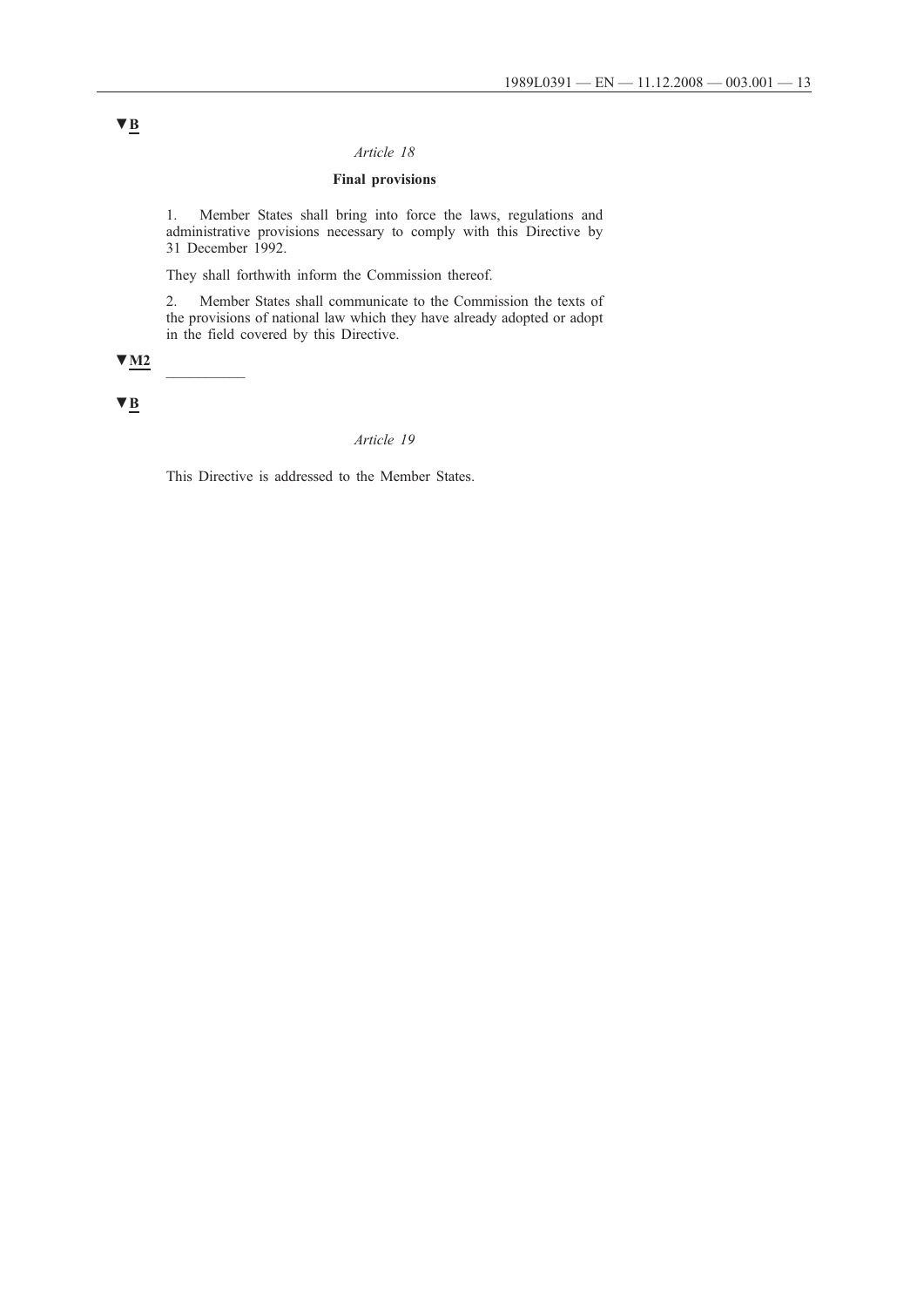## *Article 18*

## **Final provisions**

1. Member States shall bring into force the laws, regulations and administrative provisions necessary to comply with this Directive by 31 December 1992.

They shall forthwith inform the Commission thereof.

2. Member States shall communicate to the Commission the texts of the provisions of national law which they have already adopted or adopt in the field covered by this Directive.

#### **▼M2** \_\_\_\_\_\_\_\_\_\_

## **▼B**

#### *Article 19*

This Directive is addressed to the Member States.